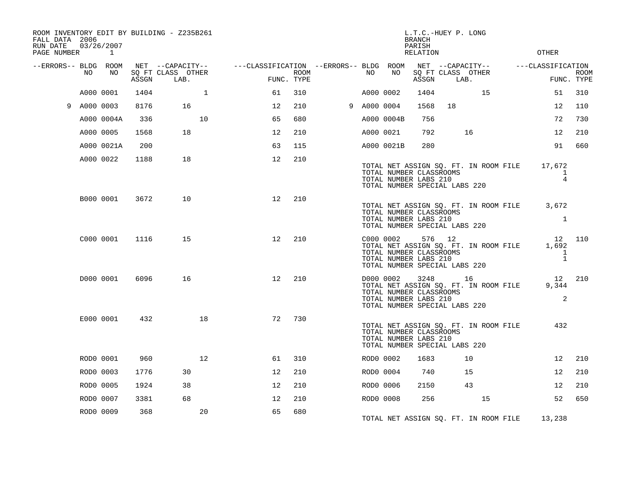| FALL DATA 2006<br>RUN DATE<br>PAGE NUMBER |             | 03/26/2007<br>$\sim$ 1 |       | ROOM INVENTORY EDIT BY BUILDING - Z235B261 |                                                                          |      |             |            | <b>BRANCH</b><br>PARISH<br><b>RELATION</b>       | L.T.C.-HUEY P. LONG                                                                               |    | OTHER                                                       |                           |
|-------------------------------------------|-------------|------------------------|-------|--------------------------------------------|--------------------------------------------------------------------------|------|-------------|------------|--------------------------------------------------|---------------------------------------------------------------------------------------------------|----|-------------------------------------------------------------|---------------------------|
| --ERRORS-- BLDG ROOM                      | NO          | NO                     | ASSGN | SQ FT CLASS OTHER<br>LAB.                  | NET --CAPACITY--    ---CLASSIFICATION --ERRORS-- BLDG ROOM<br>FUNC. TYPE | ROOM | NO          | NO         | ASSGN                                            | SQ FT CLASS OTHER<br>LAB.                                                                         |    |                                                             | <b>ROOM</b><br>FUNC. TYPE |
|                                           | A000 0001   |                        | 1404  | $\mathbf{1}$                               | 61                                                                       | 310  | A000 0002   |            | 1404                                             |                                                                                                   | 15 | 51                                                          | 310                       |
|                                           | 9 A000 0003 |                        | 8176  | 16                                         | 12                                                                       | 210  | 9 A000 0004 |            | 1568                                             | 18                                                                                                |    | 12                                                          | 110                       |
|                                           |             | A000 0004A             | 336   | 10                                         | 65                                                                       | 680  |             | A000 0004B | 756                                              |                                                                                                   |    | 72                                                          | 730                       |
|                                           | A000 0005   |                        | 1568  | 18                                         | 12                                                                       | 210  |             | A000 0021  | 792                                              | 16                                                                                                |    | 12 <sup>°</sup>                                             | 210                       |
|                                           |             | A000 0021A             | 200   |                                            | 63                                                                       | 115  |             | A000 0021B | 280                                              |                                                                                                   |    | 91                                                          | 660                       |
|                                           |             | A000 0022              | 1188  | 18                                         | $12 \overline{ }$                                                        | 210  |             |            | TOTAL NUMBER LABS 210                            | TOTAL NET ASSIGN SQ. FT. IN ROOM FILE<br>TOTAL NUMBER CLASSROOMS<br>TOTAL NUMBER SPECIAL LABS 220 |    | 17,672<br>1<br>$\overline{4}$                               |                           |
|                                           |             | B000 0001              | 3672  | 10                                         | 12                                                                       | 210  |             |            | TOTAL NUMBER CLASSROOMS<br>TOTAL NUMBER LABS 210 | TOTAL NUMBER SPECIAL LABS 220                                                                     |    | TOTAL NET ASSIGN SQ. FT. IN ROOM FILE 3,672<br>$\mathbf{1}$ |                           |
|                                           |             | C000 0001              | 1116  | 15                                         | 12                                                                       | 210  |             | C000 0002  | TOTAL NUMBER CLASSROOMS<br>TOTAL NUMBER LABS 210 | 576 12<br>TOTAL NET ASSIGN SQ. FT. IN ROOM FILE<br>TOTAL NUMBER SPECIAL LABS 220                  |    | 1,692<br>1<br>$\mathbf{1}$                                  | 12 110                    |
|                                           |             | D000 0001              | 6096  | 16                                         | 12                                                                       | 210  |             | D000 0002  | TOTAL NUMBER CLASSROOMS<br>TOTAL NUMBER LABS 210 | 3248 16<br>TOTAL NET ASSIGN SQ. FT. IN ROOM FILE<br>TOTAL NUMBER SPECIAL LABS 220                 |    | 12 210<br>9,344<br>2                                        |                           |
|                                           |             | E000 0001              | 432   | 18                                         | 72                                                                       | 730  |             |            | TOTAL NUMBER CLASSROOMS<br>TOTAL NUMBER LABS 210 | TOTAL NET ASSIGN SQ. FT. IN ROOM FILE<br>TOTAL NUMBER SPECIAL LABS 220                            |    | 432                                                         |                           |
|                                           |             | ROD0 0001              | 960   | 12 <sup>°</sup>                            | 61                                                                       | 310  | ROD0 0002   |            | 1683                                             | 10                                                                                                |    | 12                                                          | 210                       |
|                                           | ROD0 0003   |                        | 1776  | 30                                         | 12                                                                       | 210  |             | ROD0 0004  | 740                                              | 15                                                                                                |    | 12                                                          | 210                       |
|                                           | ROD0 0005   |                        | 1924  | 38                                         | 12                                                                       | 210  |             | ROD0 0006  | 2150                                             | 43                                                                                                |    | 12                                                          | 210                       |
|                                           | ROD0 0007   |                        | 3381  | 68                                         | 12                                                                       | 210  |             | ROD0 0008  | 256                                              |                                                                                                   | 15 | 52                                                          | 650                       |
|                                           | ROD0 0009   |                        | 368   | 20                                         | 65                                                                       | 680  |             |            |                                                  | TOTAL NET ASSIGN SO. FT. IN ROOM FILE                                                             |    | 13,238                                                      |                           |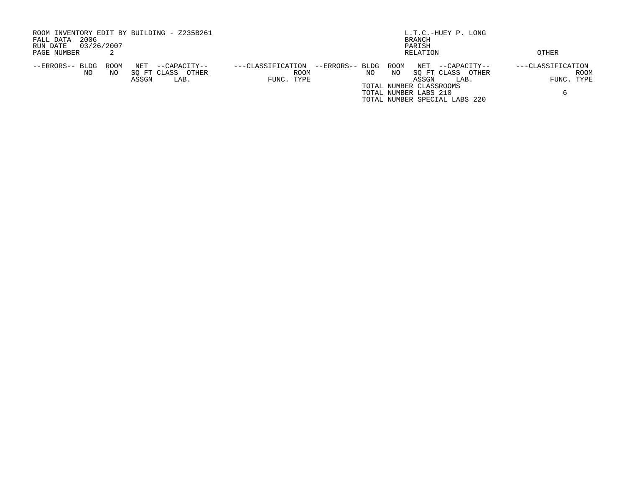| ROOM INVENTORY EDIT BY BUILDING - Z235B261     |                                      | L.T.C.-HUEY P. LONG           |                   |
|------------------------------------------------|--------------------------------------|-------------------------------|-------------------|
| 2006<br>FALL DATA                              |                                      | BRANCH                        |                   |
| 03/26/2007<br>RUN DATE                         |                                      | PARISH                        |                   |
| PAGE NUMBER                                    |                                      | RELATION                      | OTHER             |
| ROOM<br>NET<br>--ERRORS-- BLDG<br>--CAPACITY-- | --ERRORS-- BLDG<br>---CLASSIFICATION | ROOM<br>NET<br>--CAPACITY--   | ---CLASSIFICATION |
| SO FT CLASS<br>NO<br>OTHER<br>ΝO               | ROOM<br>NO.                          | ΝO<br>SO FT CLASS<br>OTHER    | ROOM              |
| ASSGN<br>LAB.                                  | FUNC. TYPE                           | ASSGN<br>LAB.                 | FUNC. TYPE        |
|                                                |                                      | TOTAL NUMBER CLASSROOMS       |                   |
|                                                |                                      | TOTAL NUMBER LABS 210         |                   |
|                                                |                                      | TOTAL NUMBER SPECIAL LABS 220 |                   |